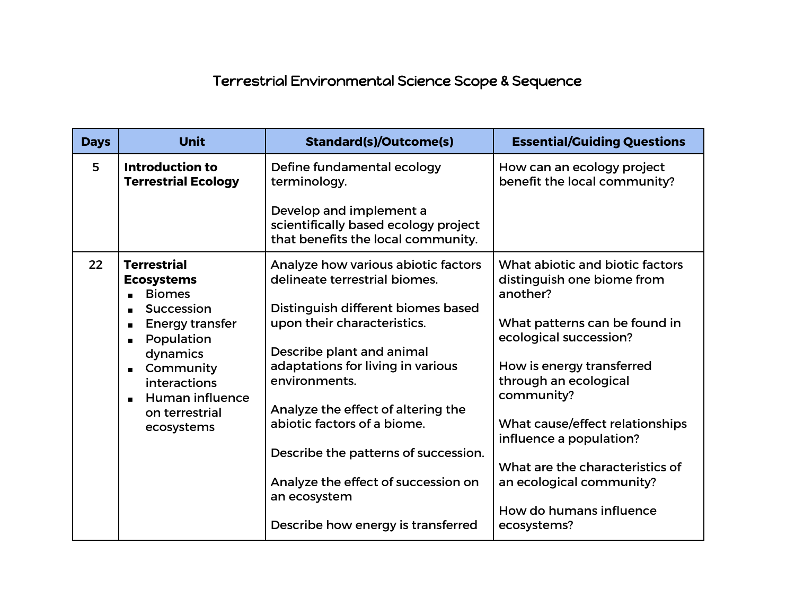## Terrestrial Environmental Science Scope & Sequence

| <b>Days</b> | <b>Unit</b>                                                                                                                                                                                                       | <b>Standard(s)/Outcome(s)</b>                                                                                                                                                                                                                                                                                                                                                                                                          | <b>Essential/Guiding Questions</b>                                                                                                                                                                                                                                                                                                                                              |
|-------------|-------------------------------------------------------------------------------------------------------------------------------------------------------------------------------------------------------------------|----------------------------------------------------------------------------------------------------------------------------------------------------------------------------------------------------------------------------------------------------------------------------------------------------------------------------------------------------------------------------------------------------------------------------------------|---------------------------------------------------------------------------------------------------------------------------------------------------------------------------------------------------------------------------------------------------------------------------------------------------------------------------------------------------------------------------------|
| 5           | <b>Introduction to</b><br><b>Terrestrial Ecology</b>                                                                                                                                                              | Define fundamental ecology<br>terminology.<br>Develop and implement a<br>scientifically based ecology project<br>that benefits the local community.                                                                                                                                                                                                                                                                                    | How can an ecology project<br>benefit the local community?                                                                                                                                                                                                                                                                                                                      |
| 22          | <b>Terrestrial</b><br><b>Ecosystems</b><br><b>Biomes</b><br>Succession<br><b>Energy transfer</b><br>Population<br>dynamics<br>Community<br>interactions<br><b>Human influence</b><br>on terrestrial<br>ecosystems | Analyze how various abiotic factors<br>delineate terrestrial biomes.<br>Distinguish different biomes based<br>upon their characteristics.<br>Describe plant and animal<br>adaptations for living in various<br>environments.<br>Analyze the effect of altering the<br>abiotic factors of a biome.<br>Describe the patterns of succession.<br>Analyze the effect of succession on<br>an ecosystem<br>Describe how energy is transferred | What abiotic and biotic factors<br>distinguish one biome from<br>another?<br>What patterns can be found in<br>ecological succession?<br>How is energy transferred<br>through an ecological<br>community?<br>What cause/effect relationships<br>influence a population?<br>What are the characteristics of<br>an ecological community?<br>How do humans influence<br>ecosystems? |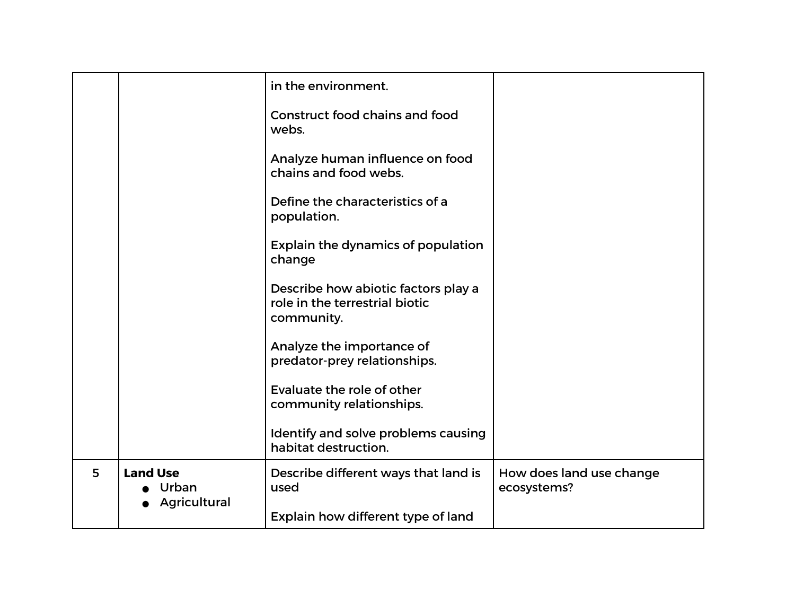|   |                          | in the environment.                                                                 |                                         |
|---|--------------------------|-------------------------------------------------------------------------------------|-----------------------------------------|
|   |                          | Construct food chains and food<br>webs.                                             |                                         |
|   |                          | Analyze human influence on food<br>chains and food webs.                            |                                         |
|   |                          | Define the characteristics of a<br>population.                                      |                                         |
|   |                          | Explain the dynamics of population<br>change                                        |                                         |
|   |                          | Describe how abiotic factors play a<br>role in the terrestrial biotic<br>community. |                                         |
|   |                          | Analyze the importance of<br>predator-prey relationships.                           |                                         |
|   |                          | Evaluate the role of other<br>community relationships.                              |                                         |
|   |                          | Identify and solve problems causing<br>habitat destruction.                         |                                         |
| 5 | <b>Land Use</b><br>Urban | Describe different ways that land is<br>used                                        | How does land use change<br>ecosystems? |
|   | Agricultural             | Explain how different type of land                                                  |                                         |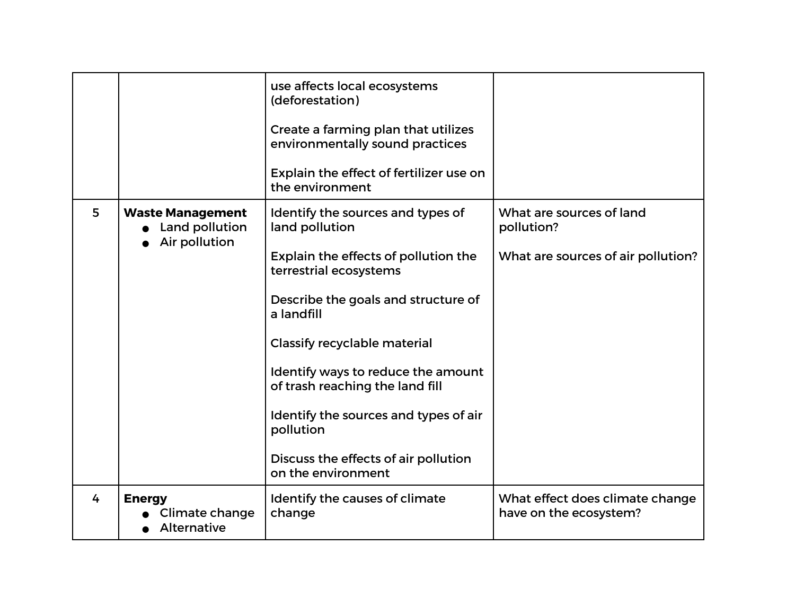|   |                                                            | use affects local ecosystems<br>(deforestation)<br>Create a farming plan that utilizes<br>environmentally sound practices<br>Explain the effect of fertilizer use on<br>the environment                                                                                                                                                                                                                        |                                                                              |
|---|------------------------------------------------------------|----------------------------------------------------------------------------------------------------------------------------------------------------------------------------------------------------------------------------------------------------------------------------------------------------------------------------------------------------------------------------------------------------------------|------------------------------------------------------------------------------|
| 5 | <b>Waste Management</b><br>Land pollution<br>Air pollution | Identify the sources and types of<br>land pollution<br>Explain the effects of pollution the<br>terrestrial ecosystems<br>Describe the goals and structure of<br>a landfill<br><b>Classify recyclable material</b><br>Identify ways to reduce the amount<br>of trash reaching the land fill<br>Identify the sources and types of air<br>pollution<br>Discuss the effects of air pollution<br>on the environment | What are sources of land<br>pollution?<br>What are sources of air pollution? |
| 4 | <b>Energy</b><br>Climate change<br><b>Alternative</b>      | Identify the causes of climate<br>change                                                                                                                                                                                                                                                                                                                                                                       | What effect does climate change<br>have on the ecosystem?                    |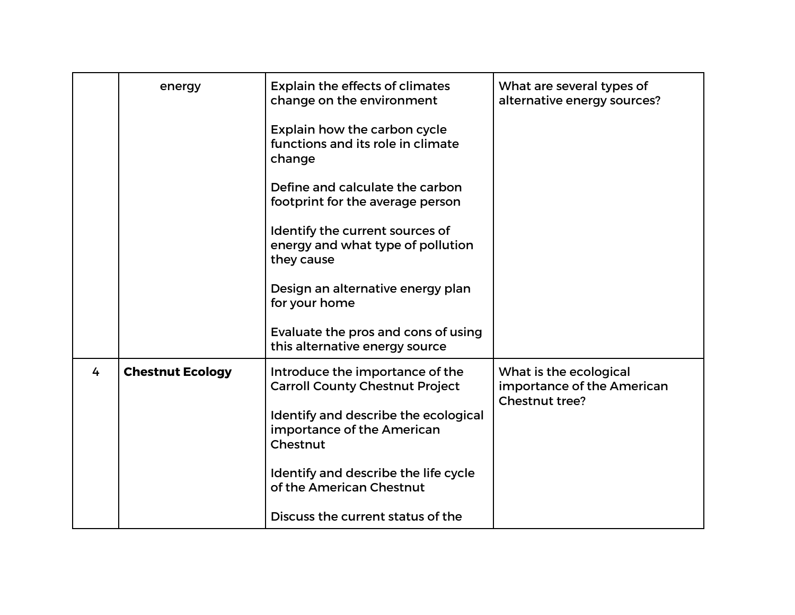|   | energy                  | <b>Explain the effects of climates</b><br>change on the environment<br>Explain how the carbon cycle<br>functions and its role in climate<br>change<br>Define and calculate the carbon<br>footprint for the average person<br>Identify the current sources of<br>energy and what type of pollution<br>they cause<br>Design an alternative energy plan<br>for your home<br>Evaluate the pros and cons of using | What are several types of<br>alternative energy sources?               |
|---|-------------------------|--------------------------------------------------------------------------------------------------------------------------------------------------------------------------------------------------------------------------------------------------------------------------------------------------------------------------------------------------------------------------------------------------------------|------------------------------------------------------------------------|
| 4 | <b>Chestnut Ecology</b> | this alternative energy source<br>Introduce the importance of the<br><b>Carroll County Chestnut Project</b><br>Identify and describe the ecological<br>importance of the American<br>Chestnut<br>Identify and describe the life cycle<br>of the American Chestnut<br>Discuss the current status of the                                                                                                       | What is the ecological<br>importance of the American<br>Chestnut tree? |